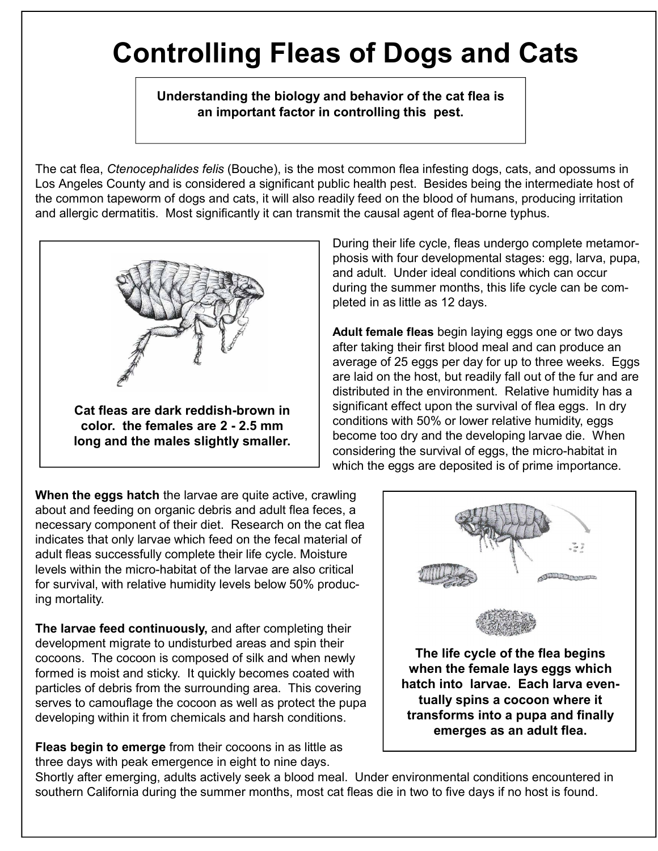## **Controlling Fleas of Dogs and Cats**

**Understanding the biology and behavior of the cat flea is an important factor in controlling this pest.**

The cat flea, *Ctenocephalides felis* (Bouche), is the most common flea infesting dogs, cats, and opossums in Los Angeles County and is considered a significant public health pest. Besides being the intermediate host of the common tapeworm of dogs and cats, it will also readily feed on the blood of humans, producing irritation and allergic dermatitis. Most significantly it can transmit the causal agent of flea-borne typhus.



During their life cycle, fleas undergo complete metamorphosis with four developmental stages: egg, larva, pupa, and adult. Under ideal conditions which can occur during the summer months, this life cycle can be completed in as little as 12 days.

**Adult female fleas** begin laying eggs one or two days after taking their first blood meal and can produce an average of 25 eggs per day for up to three weeks. Eggs are laid on the host, but readily fall out of the fur and are distributed in the environment. Relative humidity has a significant effect upon the survival of flea eggs. In dry conditions with 50% or lower relative humidity, eggs become too dry and the developing larvae die. When considering the survival of eggs, the micro-habitat in which the eggs are deposited is of prime importance.

**When the eggs hatch** the larvae are quite active, crawling about and feeding on organic debris and adult flea feces, a necessary component of their diet. Research on the cat flea indicates that only larvae which feed on the fecal material of adult fleas successfully complete their life cycle. Moisture levels within the micro-habitat of the larvae are also critical for survival, with relative humidity levels below 50% producing mortality.

**The larvae feed continuously,** and after completing their development migrate to undisturbed areas and spin their cocoons. The cocoon is composed of silk and when newly formed is moist and sticky. It quickly becomes coated with particles of debris from the surrounding area. This covering serves to camouflage the cocoon as well as protect the pupa developing within it from chemicals and harsh conditions.

**Fleas begin to emerge** from their cocoons in as little as three days with peak emergence in eight to nine days.



**hatch into larvae. Each larva eventually spins a cocoon where it transforms into a pupa and finally emerges as an adult flea.**

Shortly after emerging, adults actively seek a blood meal. Under environmental conditions encountered in southern California during the summer months, most cat fleas die in two to five days if no host is found.